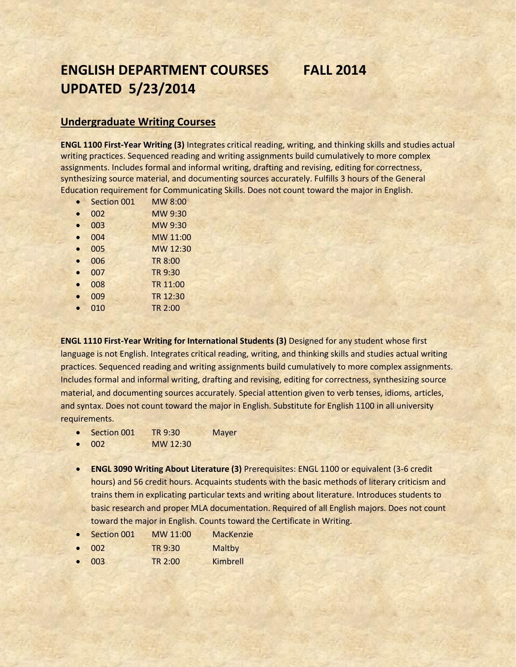# **ENGLISH DEPARTMENT COURSES FALL 2014 UPDATED 5/23/2014**

# **Undergraduate Writing Courses**

**ENGL 1100 First-Year Writing (3)** Integrates critical reading, writing, and thinking skills and studies actual writing practices. Sequenced reading and writing assignments build cumulatively to more complex assignments. Includes formal and informal writing, drafting and revising, editing for correctness, synthesizing source material, and documenting sources accurately. Fulfills 3 hours of the General Education requirement for Communicating Skills. Does not count toward the major in English.

- Section 001 MW 8:00
- 002 MW 9:30
- 003 MW 9:30
- 004 MW 11:00
- 005 MW 12:30
- 006 TR 8:00
- 007 TR 9:30 • 008 TR 11:00
- 009 TR 12:30
- 010 TR 2:00

**ENGL 1110 First-Year Writing for International Students (3)** Designed for any student whose first language is not English. Integrates critical reading, writing, and thinking skills and studies actual writing practices. Sequenced reading and writing assignments build cumulatively to more complex assignments. Includes formal and informal writing, drafting and revising, editing for correctness, synthesizing source material, and documenting sources accurately. Special attention given to verb tenses, idioms, articles, and syntax. Does not count toward the major in English. Substitute for English 1100 in all university requirements.

- Section 001 TR 9:30 Mayer
- 002 MW 12:30
- **ENGL 3090 Writing About Literature (3)** Prerequisites: ENGL 1100 or equivalent (3-6 credit hours) and 56 credit hours. Acquaints students with the basic methods of literary criticism and trains them in explicating particular texts and writing about literature. Introduces students to basic research and proper MLA documentation. Required of all English majors. Does not count toward the major in English. Counts toward the Certificate in Writing.
- Section 001 MW 11:00 MacKenzie
- 002 TR 9:30 Maltby
- 003 TR 2:00 Kimbrell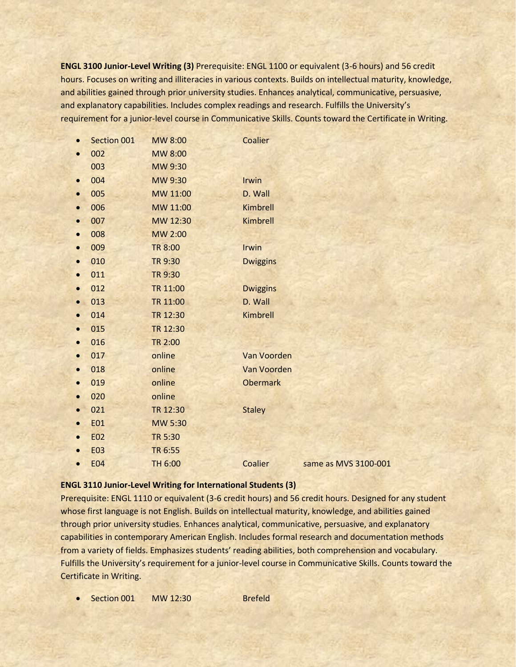**ENGL 3100 Junior-Level Writing (3)** Prerequisite: ENGL 1100 or equivalent (3-6 hours) and 56 credit hours. Focuses on writing and illiteracies in various contexts. Builds on intellectual maturity, knowledge, and abilities gained through prior university studies. Enhances analytical, communicative, persuasive, and explanatory capabilities. Includes complex readings and research. Fulfills the University's requirement for a junior-level course in Communicative Skills. Counts toward the Certificate in Writing.

|           | Section 001 | MW 8:00        | Coalier         |                      |
|-----------|-------------|----------------|-----------------|----------------------|
|           | 002         | MW 8:00        |                 |                      |
|           | 003         | MW 9:30        |                 |                      |
| $\bullet$ | 004         | MW 9:30        | Irwin           |                      |
| $\bullet$ | 005         | MW 11:00       | D. Wall         |                      |
| $\bullet$ | 006         | MW 11:00       | Kimbrell        |                      |
| $\bullet$ | 007         | MW 12:30       | Kimbrell        |                      |
| $\bullet$ | 008         | MW 2:00        |                 |                      |
| $\bullet$ | 009         | <b>TR 8:00</b> | Irwin           |                      |
| $\bullet$ | 010         | TR 9:30        | <b>Dwiggins</b> |                      |
| $\bullet$ | 011         | TR 9:30        |                 |                      |
|           | 012         | TR 11:00       | <b>Dwiggins</b> |                      |
| $\bullet$ | 013         | TR 11:00       | D. Wall         |                      |
|           | 014         | TR 12:30       | Kimbrell        |                      |
| $\bullet$ | 015         | TR 12:30       |                 |                      |
| $\bullet$ | 016         | TR 2:00        |                 |                      |
| $\bullet$ | 017         | online         | Van Voorden     |                      |
| $\bullet$ | 018         | online         | Van Voorden     |                      |
| $\bullet$ | 019         | online         | <b>Obermark</b> |                      |
|           | 020         | online         |                 |                      |
|           | 021         | TR 12:30       | <b>Staley</b>   |                      |
| $\bullet$ | <b>E01</b>  | MW 5:30        |                 |                      |
| $\bullet$ | <b>E02</b>  | TR 5:30        |                 |                      |
|           | <b>E03</b>  | TR 6:55        |                 |                      |
|           | <b>E04</b>  | TH 6:00        | Coalier         | same as MVS 3100-001 |
|           |             |                |                 |                      |

#### **ENGL 3110 Junior-Level Writing for International Students (3)**

Prerequisite: ENGL 1110 or equivalent (3-6 credit hours) and 56 credit hours. Designed for any student whose first language is not English. Builds on intellectual maturity, knowledge, and abilities gained through prior university studies. Enhances analytical, communicative, persuasive, and explanatory capabilities in contemporary American English. Includes formal research and documentation methods from a variety of fields. Emphasizes students' reading abilities, both comprehension and vocabulary. Fulfills the University's requirement for a junior-level course in Communicative Skills. Counts toward the Certificate in Writing.

Section 001 MW 12:30 Brefeld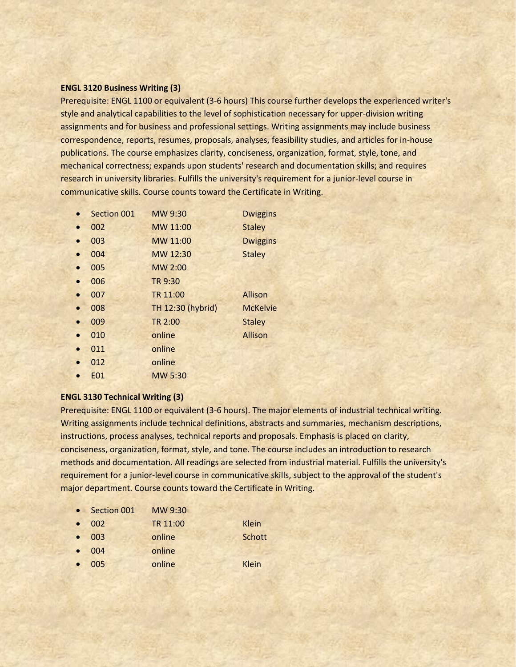## **ENGL 3120 Business Writing (3)**

Prerequisite: ENGL 1100 or equivalent (3-6 hours) This course further develops the experienced writer's style and analytical capabilities to the level of sophistication necessary for upper-division writing assignments and for business and professional settings. Writing assignments may include business correspondence, reports, resumes, proposals, analyses, feasibility studies, and articles for in-house publications. The course emphasizes clarity, conciseness, organization, format, style, tone, and mechanical correctness; expands upon students' research and documentation skills; and requires research in university libraries. Fulfills the university's requirement for a junior-level course in communicative skills. Course counts toward the Certificate in Writing.

- Section 001 MW 9:30 Dwiggins
- 002 MW 11:00 Staley
- 003 MW 11:00 Dwiggins
- 004 MW 12:30 Staley
- 005 MW 2:00
- 006 TR 9:30
- 007 TR 11:00 Allison
- 008 TH 12:30 (hybrid) McKelvie
- 009 TR 2:00 Staley
- **online** Allison
- 011 online
- 012 online
- E01 MW 5:30

## **ENGL 3130 Technical Writing (3)**

Prerequisite: ENGL 1100 or equivalent (3-6 hours). The major elements of industrial technical writing. Writing assignments include technical definitions, abstracts and summaries, mechanism descriptions, instructions, process analyses, technical reports and proposals. Emphasis is placed on clarity, conciseness, organization, format, style, and tone. The course includes an introduction to research methods and documentation. All readings are selected from industrial material. Fulfills the university's requirement for a junior-level course in communicative skills, subject to the approval of the student's major department. Course counts toward the Certificate in Writing.

- Section 001 MW 9:30
- 002 TR 11:00 Klein 003 online Schott
- 
- 004 online
- 005 online Klein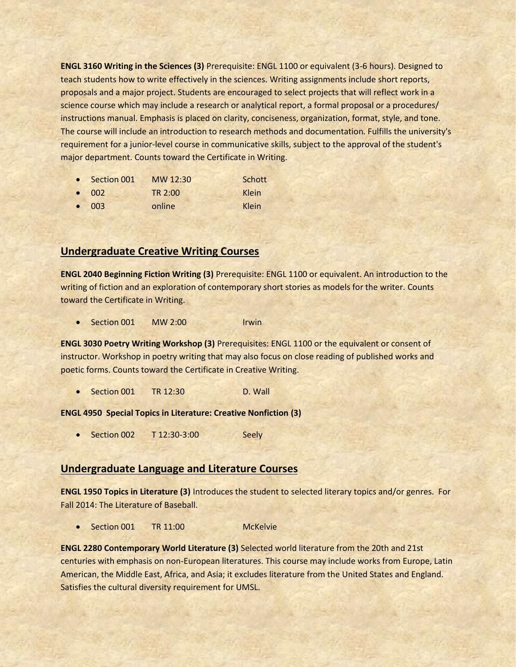**ENGL 3160 Writing in the Sciences (3)** Prerequisite: ENGL 1100 or equivalent (3-6 hours). Designed to teach students how to write effectively in the sciences. Writing assignments include short reports, proposals and a major project. Students are encouraged to select projects that will reflect work in a science course which may include a research or analytical report, a formal proposal or a procedures/ instructions manual. Emphasis is placed on clarity, conciseness, organization, format, style, and tone. The course will include an introduction to research methods and documentation. Fulfills the university's requirement for a junior-level course in communicative skills, subject to the approval of the student's major department. Counts toward the Certificate in Writing.

| • Section 001 | MW 12:30 | Schott       |
|---------------|----------|--------------|
| $\bullet$ 002 | TR 2:00  | <b>Klein</b> |
| $\bullet$ 003 | online   | Klein        |

# **Undergraduate Creative Writing Courses**

**ENGL 2040 Beginning Fiction Writing (3)** Prerequisite: ENGL 1100 or equivalent. An introduction to the writing of fiction and an exploration of contemporary short stories as models for the writer. Counts toward the Certificate in Writing.

• Section 001 MW 2:00 Irwin

**ENGL 3030 Poetry Writing Workshop (3)** Prerequisites: ENGL 1100 or the equivalent or consent of instructor. Workshop in poetry writing that may also focus on close reading of published works and poetic forms. Counts toward the Certificate in Creative Writing.

Section 001 TR 12:30 D. Wall

## **ENGL 4950 Special Topics in Literature: Creative Nonfiction (3)**

• Section 002 T 12:30-3:00 Seely

# **Undergraduate Language and Literature Courses**

**ENGL 1950 Topics in Literature (3)** Introduces the student to selected literary topics and/or genres. For Fall 2014: The Literature of Baseball.

• Section 001 TR 11:00 McKelvie

**ENGL 2280 Contemporary World Literature (3)** Selected world literature from the 20th and 21st centuries with emphasis on non-European literatures. This course may include works from Europe, Latin American, the Middle East, Africa, and Asia; it excludes literature from the United States and England. Satisfies the cultural diversity requirement for UMSL.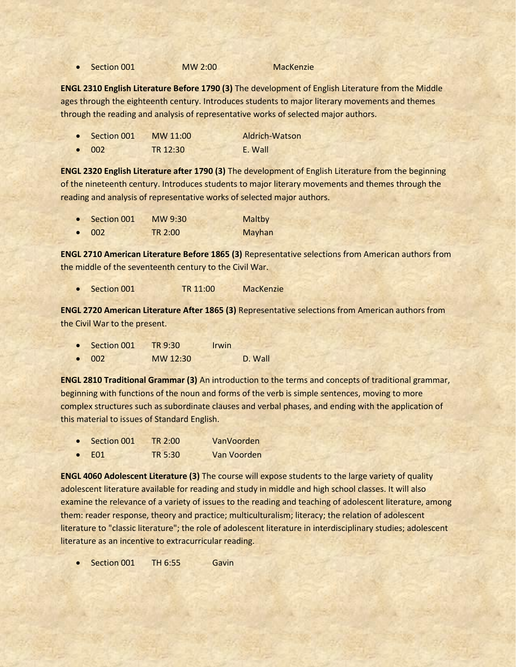• Section 001 MW 2:00 MacKenzie

**ENGL 2310 English Literature Before 1790 (3)** The development of English Literature from the Middle ages through the eighteenth century. Introduces students to major literary movements and themes through the reading and analysis of representative works of selected major authors.

| $\bullet$ Section 001 | MW 11:00 | Aldrich-Watson |
|-----------------------|----------|----------------|
| $\bullet$ 002         | TR 12:30 | E. Wall        |

**ENGL 2320 English Literature after 1790 (3)** The development of English Literature from the beginning of the nineteenth century. Introduces students to major literary movements and themes through the reading and analysis of representative works of selected major authors.

| $\bullet$ Section 001 | MW 9:30        | Maltby |
|-----------------------|----------------|--------|
| $\bullet$ 002         | <b>TR 2:00</b> | Mayhan |

**ENGL 2710 American Literature Before 1865 (3)** Representative selections from American authors from the middle of the seventeenth century to the Civil War.

Section 001 **TR 11:00** MacKenzie

**ENGL 2720 American Literature After 1865 (3)** Representative selections from American authors from the Civil War to the present.

- Section 001 TR 9:30 Irwin
- 002 MW 12:30 D. Wall

**ENGL 2810 Traditional Grammar (3)** An introduction to the terms and concepts of traditional grammar, beginning with functions of the noun and forms of the verb is simple sentences, moving to more complex structures such as subordinate clauses and verbal phases, and ending with the application of this material to issues of Standard English.

- Section 001 TR 2:00 VanVoorden
- E01 TR 5:30 Van Voorden

**ENGL 4060 Adolescent Literature (3)** The course will expose students to the large variety of quality adolescent literature available for reading and study in middle and high school classes. It will also examine the relevance of a variety of issues to the reading and teaching of adolescent literature, among them: reader response, theory and practice; multiculturalism; literacy; the relation of adolescent literature to "classic literature"; the role of adolescent literature in interdisciplinary studies; adolescent literature as an incentive to extracurricular reading.

Section 001 TH 6:55 Gavin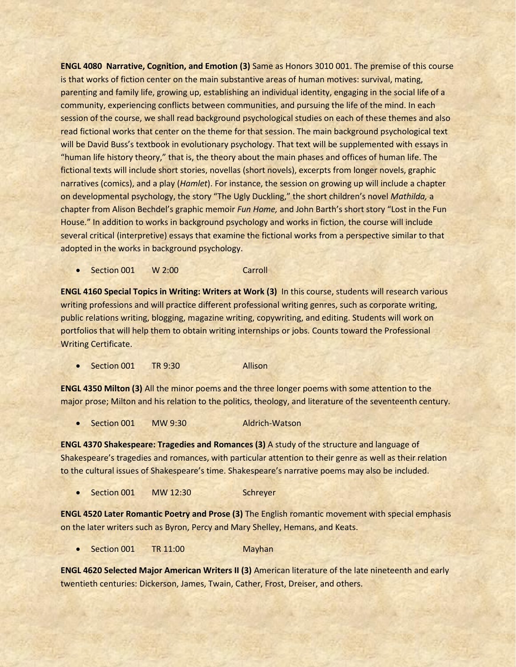**ENGL 4080 Narrative, Cognition, and Emotion (3)** Same as Honors 3010 001. The premise of this course is that works of fiction center on the main substantive areas of human motives: survival, mating, parenting and family life, growing up, establishing an individual identity, engaging in the social life of a community, experiencing conflicts between communities, and pursuing the life of the mind. In each session of the course, we shall read background psychological studies on each of these themes and also read fictional works that center on the theme for that session. The main background psychological text will be David Buss's textbook in evolutionary psychology. That text will be supplemented with essays in "human life history theory," that is, the theory about the main phases and offices of human life. The fictional texts will include short stories, novellas (short novels), excerpts from longer novels, graphic narratives (comics), and a play (*Hamlet*). For instance, the session on growing up will include a chapter on developmental psychology, the story "The Ugly Duckling," the short children's novel *Mathilda,* a chapter from Alison Bechdel's graphic memoir *Fun Home,* and John Barth's short story "Lost in the Fun House." In addition to works in background psychology and works in fiction, the course will include several critical (interpretive) essays that examine the fictional works from a perspective similar to that adopted in the works in background psychology.

• Section 001 W 2:00 Carroll

**ENGL 4160 Special Topics in Writing: Writers at Work (3)** In this course, students will research various writing professions and will practice different professional writing genres, such as corporate writing, public relations writing, blogging, magazine writing, copywriting, and editing. Students will work on portfolios that will help them to obtain writing internships or jobs. Counts toward the Professional Writing Certificate.

• Section 001 TR 9:30 Allison

**ENGL 4350 Milton (3)** All the minor poems and the three longer poems with some attention to the major prose; Milton and his relation to the politics, theology, and literature of the seventeenth century.

• Section 001 MW 9:30 Aldrich-Watson

**ENGL 4370 Shakespeare: Tragedies and Romances (3)** A study of the structure and language of Shakespeare's tragedies and romances, with particular attention to their genre as well as their relation to the cultural issues of Shakespeare's time. Shakespeare's narrative poems may also be included.

• Section 001 MW 12:30 Schreyer

**ENGL 4520 Later Romantic Poetry and Prose (3)** The English romantic movement with special emphasis on the later writers such as Byron, Percy and Mary Shelley, Hemans, and Keats.

Section 001 TR 11:00 Mayhan

**ENGL 4620 Selected Major American Writers II (3)** American literature of the late nineteenth and early twentieth centuries: Dickerson, James, Twain, Cather, Frost, Dreiser, and others.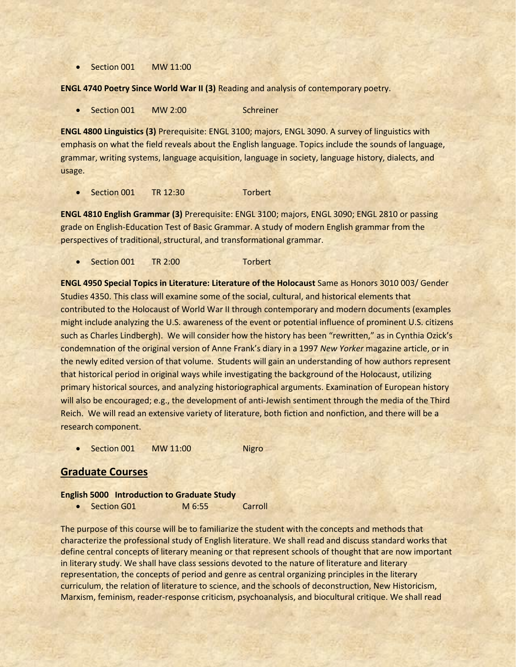• Section 001 MW 11:00

**ENGL 4740 Poetry Since World War II (3)** Reading and analysis of contemporary poetry.

• Section 001 MW 2:00 Schreiner

**ENGL 4800 Linguistics (3)** Prerequisite: ENGL 3100; majors, ENGL 3090. A survey of linguistics with emphasis on what the field reveals about the English language. Topics include the sounds of language, grammar, writing systems, language acquisition, language in society, language history, dialects, and usage.

Section 001 TR 12:30 Torbert

**ENGL 4810 English Grammar (3)** Prerequisite: ENGL 3100; majors, ENGL 3090; ENGL 2810 or passing grade on English-Education Test of Basic Grammar. A study of modern English grammar from the perspectives of traditional, structural, and transformational grammar.

• Section 001 TR 2:00 Torbert

**ENGL 4950 Special Topics in Literature: Literature of the Holocaust** Same as Honors 3010 003/ Gender Studies 4350. This class will examine some of the social, cultural, and historical elements that contributed to the Holocaust of World War II through contemporary and modern documents (examples might include analyzing the U.S. awareness of the event or potential influence of prominent U.S. citizens such as Charles Lindbergh). We will consider how the history has been "rewritten," as in Cynthia Ozick's condemnation of the original version of Anne Frank's diary in a 1997 *New Yorker* magazine article, or in the newly edited version of that volume. Students will gain an understanding of how authors represent that historical period in original ways while investigating the background of the Holocaust, utilizing primary historical sources, and analyzing historiographical arguments. Examination of European history will also be encouraged; e.g., the development of anti-Jewish sentiment through the media of the Third Reich. We will read an extensive variety of literature, both fiction and nonfiction, and there will be a research component.

Section 001 MW 11:00 Nigro

# **Graduate Courses**

#### **English 5000 Introduction to Graduate Study**

• Section G01 M 6:55 Carroll

The purpose of this course will be to familiarize the student with the concepts and methods that characterize the professional study of English literature. We shall read and discuss standard works that define central concepts of literary meaning or that represent schools of thought that are now important in literary study. We shall have class sessions devoted to the nature of literature and literary representation, the concepts of period and genre as central organizing principles in the literary curriculum, the relation of literature to science, and the schools of deconstruction, New Historicism, Marxism, feminism, reader-response criticism, psychoanalysis, and biocultural critique. We shall read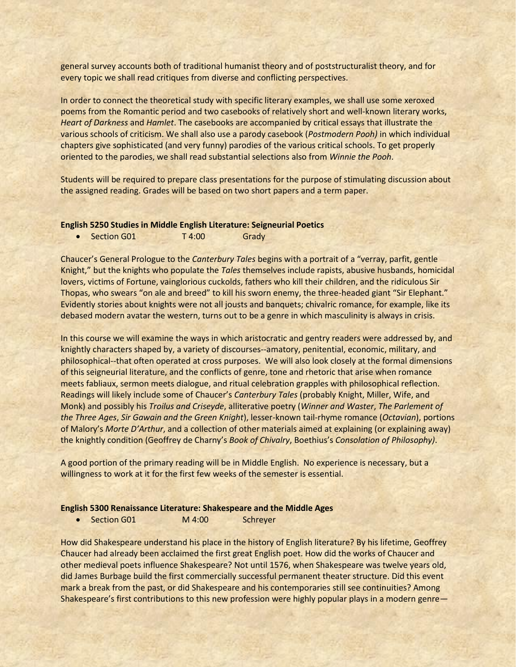general survey accounts both of traditional humanist theory and of poststructuralist theory, and for every topic we shall read critiques from diverse and conflicting perspectives.

In order to connect the theoretical study with specific literary examples, we shall use some xeroxed poems from the Romantic period and two casebooks of relatively short and well-known literary works, *Heart of Darkness* and *Hamlet*. The casebooks are accompanied by critical essays that illustrate the various schools of criticism. We shall also use a parody casebook (*Postmodern Pooh)* in which individual chapters give sophisticated (and very funny) parodies of the various critical schools. To get properly oriented to the parodies, we shall read substantial selections also from *Winnie the Pooh*.

Students will be required to prepare class presentations for the purpose of stimulating discussion about the assigned reading. Grades will be based on two short papers and a term paper.

#### **English 5250 Studies in Middle English Literature: Seigneurial Poetics**

• Section G01 T4:00 Grady

Chaucer's General Prologue to the *Canterbury Tales* begins with a portrait of a "verray, parfit, gentle Knight," but the knights who populate the *Tales* themselves include rapists, abusive husbands, homicidal lovers, victims of Fortune, vainglorious cuckolds, fathers who kill their children, and the ridiculous Sir Thopas, who swears "on ale and breed" to kill his sworn enemy, the three-headed giant "Sir Elephant." Evidently stories about knights were not all jousts and banquets; chivalric romance, for example, like its debased modern avatar the western, turns out to be a genre in which masculinity is always in crisis.

In this course we will examine the ways in which aristocratic and gentry readers were addressed by, and knightly characters shaped by, a variety of discourses--amatory, penitential, economic, military, and philosophical--that often operated at cross purposes. We will also look closely at the formal dimensions of this seigneurial literature, and the conflicts of genre, tone and rhetoric that arise when romance meets fabliaux, sermon meets dialogue, and ritual celebration grapples with philosophical reflection. Readings will likely include some of Chaucer's *Canterbury Tales* (probably Knight, Miller, Wife, and Monk) and possibly his *Troilus and Criseyde*, alliterative poetry (*Winner and Waster*, *The Parlement of the Three Ages*, *Sir Gawain and the Green Knight*), lesser-known tail-rhyme romance (*Octavian*), portions of Malory's *Morte D'Arthur*, and a collection of other materials aimed at explaining (or explaining away) the knightly condition (Geoffrey de Charny's *Book of Chivalry*, Boethius's *Consolation of Philosophy)*.

A good portion of the primary reading will be in Middle English. No experience is necessary, but a willingness to work at it for the first few weeks of the semester is essential.

#### **English 5300 Renaissance Literature: Shakespeare and the Middle Ages**

• Section G01 M 4:00 Schreyer

How did Shakespeare understand his place in the history of English literature? By his lifetime, Geoffrey Chaucer had already been acclaimed the first great English poet. How did the works of Chaucer and other medieval poets influence Shakespeare? Not until 1576, when Shakespeare was twelve years old, did James Burbage build the first commercially successful permanent theater structure. Did this event mark a break from the past, or did Shakespeare and his contemporaries still see continuities? Among Shakespeare's first contributions to this new profession were highly popular plays in a modern genre—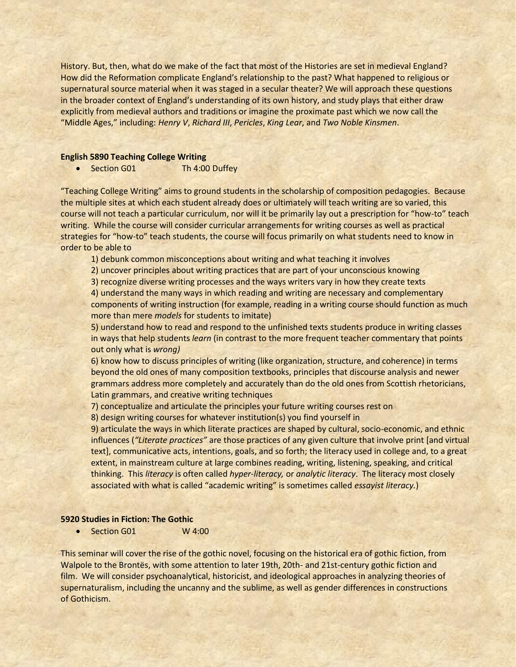History. But, then, what do we make of the fact that most of the Histories are set in medieval England? How did the Reformation complicate England's relationship to the past? What happened to religious or supernatural source material when it was staged in a secular theater? We will approach these questions in the broader context of England's understanding of its own history, and study plays that either draw explicitly from medieval authors and traditions or imagine the proximate past which we now call the "Middle Ages," including: *Henry V*, *Richard III*, *Pericles*, *King Lear*, and *Two Noble Kinsmen*.

#### **English 5890 Teaching College Writing**

• Section G01 Th 4:00 Duffey

"Teaching College Writing" aims to ground students in the scholarship of composition pedagogies. Because the multiple sites at which each student already does or ultimately will teach writing are so varied, this course will not teach a particular curriculum, nor will it be primarily lay out a prescription for "how-to" teach writing. While the course will consider curricular arrangements for writing courses as well as practical strategies for "how-to" teach students, the course will focus primarily on what students need to know in order to be able to

1) debunk common misconceptions about writing and what teaching it involves

2) uncover principles about writing practices that are part of your unconscious knowing

3) recognize diverse writing processes and the ways writers vary in how they create texts

4) understand the many ways in which reading and writing are necessary and complementary components of writing instruction (for example, reading in a writing course should function as much more than mere *models* for students to imitate)

5) understand how to read and respond to the unfinished texts students produce in writing classes in ways that help students *learn* (in contrast to the more frequent teacher commentary that points out only what is *wrong)*

6) know how to discuss principles of writing (like organization, structure, and coherence) in terms beyond the old ones of many composition textbooks, principles that discourse analysis and newer grammars address more completely and accurately than do the old ones from Scottish rhetoricians, Latin grammars, and creative writing techniques

7) conceptualize and articulate the principles your future writing courses rest on

8) design writing courses for whatever institution(s) you find yourself in

9) articulate the ways in which literate practices are shaped by cultural, socio-economic, and ethnic influences (*"Literate practices"* are those practices of any given culture that involve print [and virtual text], communicative acts, intentions, goals, and so forth; the literacy used in college and, to a great extent, in mainstream culture at large combines reading, writing, listening, speaking, and critical thinking. This *literacy* is often called *hyper-literacy,* or *analytic literacy*. The literacy most closely associated with what is called "academic writing" is sometimes called *essayist literacy.*)

#### **5920 Studies in Fiction: The Gothic**

Section G01 W 4:00

This seminar will cover the rise of the gothic novel, focusing on the historical era of gothic fiction, from Walpole to the Brontës, with some attention to later 19th, 20th- and 21st-century gothic fiction and film. We will consider psychoanalytical, historicist, and ideological approaches in analyzing theories of supernaturalism, including the uncanny and the sublime, as well as gender differences in constructions of Gothicism.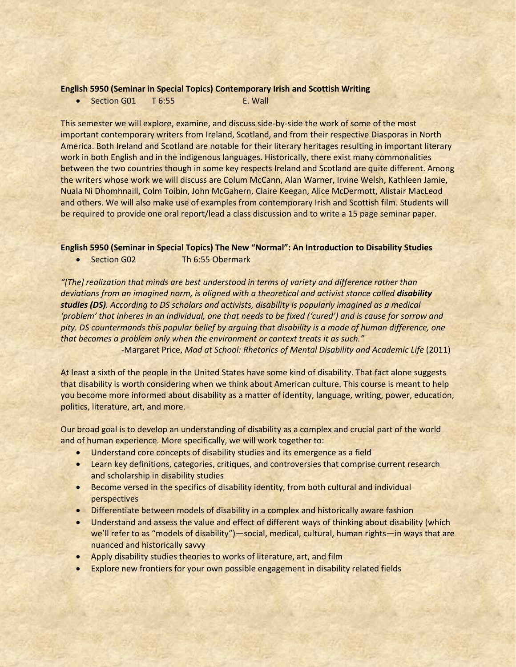#### **English 5950 (Seminar in Special Topics) Contemporary Irish and Scottish Writing**

• Section G01 T 6:55 F. Wall

This semester we will explore, examine, and discuss side-by-side the work of some of the most important contemporary writers from Ireland, Scotland, and from their respective Diasporas in North America. Both Ireland and Scotland are notable for their literary heritages resulting in important literary work in both English and in the indigenous languages. Historically, there exist many commonalities between the two countries though in some key respects Ireland and Scotland are quite different. Among the writers whose work we will discuss are Colum McCann, Alan Warner, Irvine Welsh, Kathleen Jamie, Nuala Ni Dhomhnaill, Colm Toibin, John McGahern, Claire Keegan, Alice McDermott, Alistair MacLeod and others. We will also make use of examples from contemporary Irish and Scottish film. Students will be required to provide one oral report/lead a class discussion and to write a 15 page seminar paper.

## **English 5950 (Seminar in Special Topics) The New "Normal": An Introduction to Disability Studies**

• Section G02 Th 6:55 Obermark

*"[The] realization that minds are best understood in terms of variety and difference rather than*  deviations from an imagined norm, is aligned with a theoretical and activist stance called **disability** *studies (DS). According to DS scholars and activists, disability is popularly imagined as a medical 'problem' that inheres in an individual, one that needs to be fixed ('cured') and is cause for sorrow and pity. DS countermands this popular belief by arguing that disability is a mode of human difference, one that becomes a problem only when the environment or context treats it as such."* 

-Margaret Price, *Mad at School: Rhetorics of Mental Disability and Academic Life* (2011)

At least a sixth of the people in the United States have some kind of disability. That fact alone suggests that disability is worth considering when we think about American culture. This course is meant to help you become more informed about disability as a matter of identity, language, writing, power, education, politics, literature, art, and more.

Our broad goal is to develop an understanding of disability as a complex and crucial part of the world and of human experience. More specifically, we will work together to:

- Understand core concepts of disability studies and its emergence as a field
- Learn key definitions, categories, critiques, and controversies that comprise current research and scholarship in disability studies
- Become versed in the specifics of disability identity, from both cultural and individual perspectives
- Differentiate between models of disability in a complex and historically aware fashion
- Understand and assess the value and effect of different ways of thinking about disability (which we'll refer to as "models of disability")—social, medical, cultural, human rights—in ways that are nuanced and historically savvy
- Apply disability studies theories to works of literature, art, and film
- Explore new frontiers for your own possible engagement in disability related fields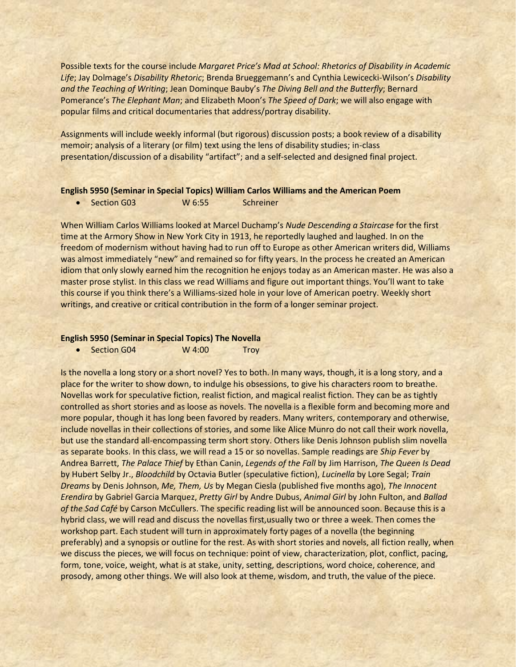Possible texts for the course include *Margaret Price's Mad at School: Rhetorics of Disability in Academic Life*; Jay Dolmage's *Disability Rhetoric*; Brenda Brueggemann's and Cynthia Lewicecki-Wilson's *Disability and the Teaching of Writing*; Jean Dominque Bauby's *The Diving Bell and the Butterfly*; Bernard Pomerance's *The Elephant Man*; and Elizabeth Moon's *The Speed of Dark*; we will also engage with popular films and critical documentaries that address/portray disability.

Assignments will include weekly informal (but rigorous) discussion posts; a book review of a disability memoir; analysis of a literary (or film) text using the lens of disability studies; in-class presentation/discussion of a disability "artifact"; and a self-selected and designed final project.

#### **English 5950 (Seminar in Special Topics) William Carlos Williams and the American Poem**

• Section G03 W 6:55 Schreiner

When William Carlos Williams looked at Marcel Duchamp's *Nude Descending a Staircase* for the first time at the Armory Show in New York City in 1913, he reportedly laughed and laughed. In on the freedom of modernism without having had to run off to Europe as other American writers did, Williams was almost immediately "new" and remained so for fifty years. In the process he created an American idiom that only slowly earned him the recognition he enjoys today as an American master. He was also a master prose stylist. In this class we read Williams and figure out important things. You'll want to take this course if you think there's a Williams-sized hole in your love of American poetry. Weekly short writings, and creative or critical contribution in the form of a longer seminar project.

#### **English 5950 (Seminar in Special Topics) The Novella**

• Section G04 W 4:00 Troy

Is the novella a long story or a short novel? Yes to both. In many ways, though, it is a long story, and a place for the writer to show down, to indulge his obsessions, to give his characters room to breathe. Novellas work for speculative fiction, realist fiction, and magical realist fiction. They can be as tightly controlled as short stories and as loose as novels. The novella is a flexible form and becoming more and more popular, though it has long been favored by readers. Many writers, contemporary and otherwise, include novellas in their collections of stories, and some like Alice Munro do not call their work novella, but use the standard all-encompassing term short story. Others like Denis Johnson publish slim novella as separate books. In this class, we will read a 15 or so novellas. Sample readings are *Ship Fever* by Andrea Barrett, *The Palace Thief* by Ethan Canin, *Legends of the Fall* by Jim Harrison, *The Queen Is Dead* by Hubert Selby Jr., *Bloodchild* by Octavia Butler (speculative fiction), *Lucinella* by Lore Segal; *Train Dreams* by Denis Johnson, *Me, Them, Us* by Megan Ciesla (published five months ago), *The Innocent Erendira* by Gabriel Garcia Marquez, *Pretty Girl* by Andre Dubus, *Animal Girl* by John Fulton, and *Ballad of the Sad Café* by Carson McCullers. The specific reading list will be announced soon. Because this is a hybrid class, we will read and discuss the novellas first,usually two or three a week. Then comes the workshop part. Each student will turn in approximately forty pages of a novella (the beginning preferably) and a synopsis or outline for the rest. As with short stories and novels, all fiction really, when we discuss the pieces, we will focus on technique: point of view, characterization, plot, conflict, pacing, form, tone, voice, weight, what is at stake, unity, setting, descriptions, word choice, coherence, and prosody, among other things. We will also look at theme, wisdom, and truth, the value of the piece.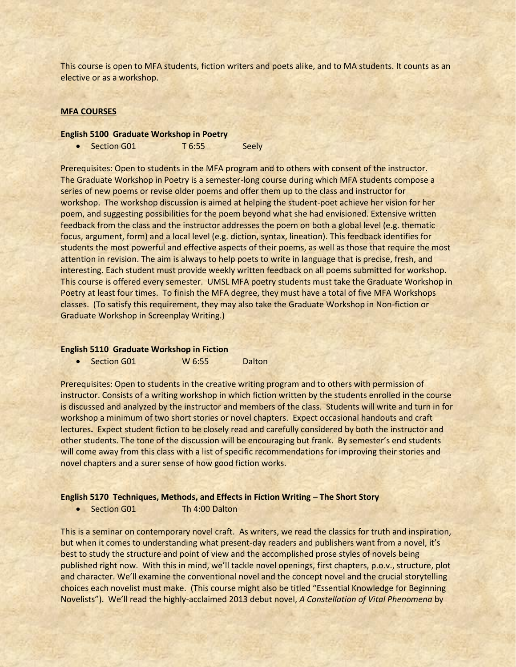This course is open to MFA students, fiction writers and poets alike, and to MA students. It counts as an elective or as a workshop.

#### **MFA COURSES**

#### **English 5100 Graduate Workshop in Poetry**

• Section G01 T 6:55 Seely

Prerequisites: Open to students in the MFA program and to others with consent of the instructor. The Graduate Workshop in Poetry is a semester-long course during which MFA students compose a series of new poems or revise older poems and offer them up to the class and instructor for workshop. The workshop discussion is aimed at helping the student-poet achieve her vision for her poem, and suggesting possibilities for the poem beyond what she had envisioned. Extensive written feedback from the class and the instructor addresses the poem on both a global level (e.g. thematic focus, argument, form) and a local level (e.g. diction, syntax, lineation). This feedback identifies for students the most powerful and effective aspects of their poems, as well as those that require the most attention in revision. The aim is always to help poets to write in language that is precise, fresh, and interesting. Each student must provide weekly written feedback on all poems submitted for workshop. This course is offered every semester. UMSL MFA poetry students must take the Graduate Workshop in Poetry at least four times. To finish the MFA degree, they must have a total of five MFA Workshops classes. (To satisfy this requirement, they may also take the Graduate Workshop in Non-fiction or Graduate Workshop in Screenplay Writing.)

#### **English 5110 Graduate Workshop in Fiction**

• Section G01 W 6:55 Dalton

Prerequisites: Open to students in the creative writing program and to others with permission of instructor. Consists of a writing workshop in which fiction written by the students enrolled in the course is discussed and analyzed by the instructor and members of the class. Students will write and turn in for workshop a minimum of two short stories or novel chapters. Expect occasional handouts and craft lectures**.** Expect student fiction to be closely read and carefully considered by both the instructor and other students. The tone of the discussion will be encouraging but frank. By semester's end students will come away from this class with a list of specific recommendations for improving their stories and novel chapters and a surer sense of how good fiction works.

#### **English 5170 Techniques, Methods, and Effects in Fiction Writing – The Short Story**

• Section G01 Th 4:00 Dalton

This is a seminar on contemporary novel craft. As writers, we read the classics for truth and inspiration, but when it comes to understanding what present-day readers and publishers want from a novel, it's best to study the structure and point of view and the accomplished prose styles of novels being published right now. With this in mind, we'll tackle novel openings, first chapters, p.o.v., structure, plot and character. We'll examine the conventional novel and the concept novel and the crucial storytelling choices each novelist must make. (This course might also be titled "Essential Knowledge for Beginning Novelists"). We'll read the highly-acclaimed 2013 debut novel, *A Constellation of Vital Phenomena* by